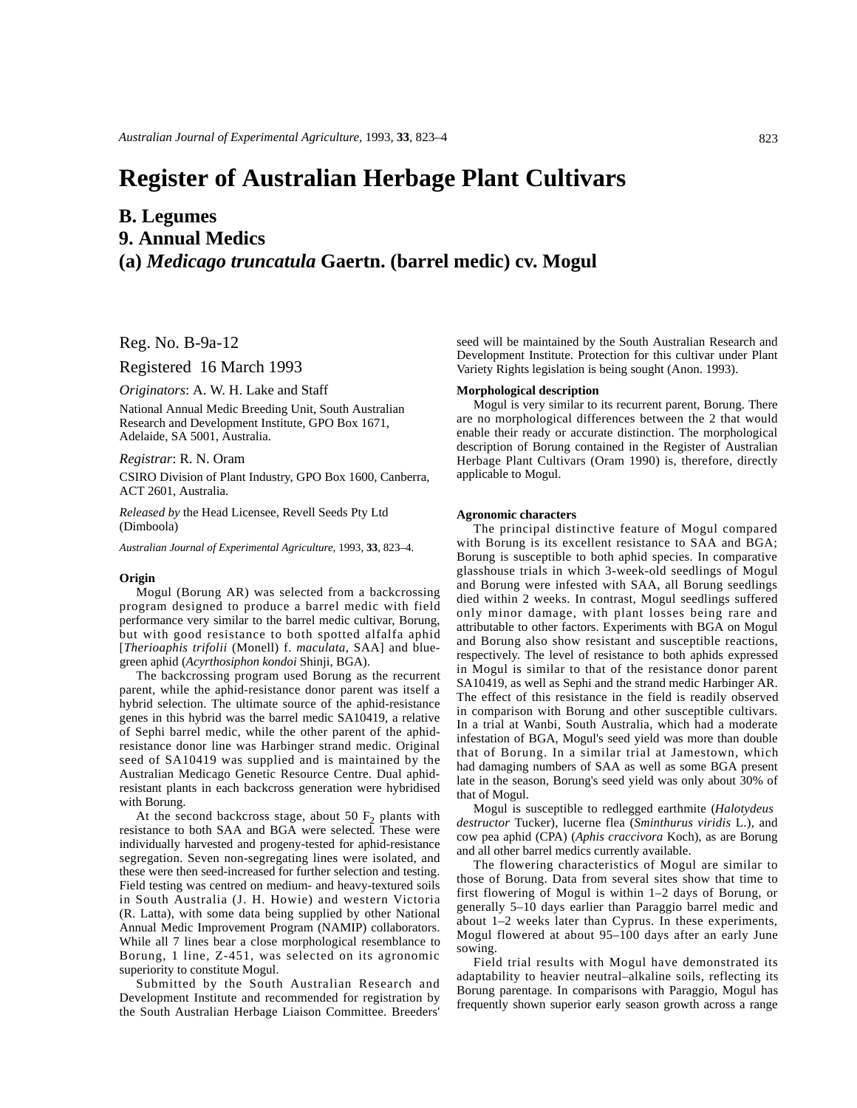# **Register of Australian Herbage Plant Cultivars**

# **B. Legumes 9. Annual Medics (a)** *Medicago truncatula* **Gaertn. (barrel medic) cv. Mogul**

Reg. No. B-9a-12

Registered 16 March 1993

*Originators*: A. W. H. Lake and Staff

National Annual Medic Breeding Unit, South Australian Research and Development Institute, GPO Box 1671, Adelaide, SA 5001, Australia.

## *Registrar*: R. N. Oram

CSIRO Division of Plant Industry, GPO Box 1600, Canberra, ACT 2601, Australia.

*Released by* the Head Licensee, Revell Seeds Pty Ltd (Dimboola)

*Australian Journal of Experimental Agriculture*, 1993, **33**, 823–4.

#### **Origin**

Mogul (Borung AR) was selected from a backcrossing program designed to produce a barrel medic with field performance very similar to the barrel medic cultivar, Borung, but with good resistance to both spotted alfalfa aphid [*Therioaphis trifolii* (Monell) f. *maculata*, SAA] and bluegreen aphid (*Acyrthosiphon kondoi* Shinji, BGA).

The backcrossing program used Borung as the recurrent parent, while the aphid-resistance donor parent was itself a hybrid selection. The ultimate source of the aphid-resistance genes in this hybrid was the barrel medic SA10419, a relative of Sephi barrel medic, while the other parent of the aphidresistance donor line was Harbinger strand medic. Original seed of SA10419 was supplied and is maintained by the Australian Medicago Genetic Resource Centre. Dual aphidresistant plants in each backcross generation were hybridised with Borung.

At the second backcross stage, about 50  $F_2$  plants with resistance to both SAA and BGA were selected. These were individually harvested and progeny-tested for aphid-resistance segregation. Seven non-segregating lines were isolated, and these were then seed-increased for further selection and testing. Field testing was centred on medium- and heavy-textured soils in South Australia (J. H. Howie) and western Victoria (R. Latta), with some data being supplied by other National Annual Medic Improvement Program (NAMIP) collaborators. While all 7 lines bear a close morphological resemblance to Borung, 1 line, Z-451, was selected on its agronomic superiority to constitute Mogul.

Submitted by the South Australian Research and Development Institute and recommended for registration by the South Australian Herbage Liaison Committee. Breeders'

seed will be maintained by the South Australian Research and Development Institute. Protection for this cultivar under Plant Variety Rights legislation is being sought (Anon. 1993).

# **Morphological description**

Mogul is very similar to its recurrent parent, Borung. There are no morphological differences between the 2 that would enable their ready or accurate distinction. The morphological description of Borung contained in the Register of Australian Herbage Plant Cultivars (Oram 1990) is, therefore, directly applicable to Mogul.

## **Agronomic characters**

The principal distinctive feature of Mogul compared with Borung is its excellent resistance to SAA and BGA; Borung is susceptible to both aphid species. In comparative glasshouse trials in which 3-week-old seedlings of Mogul and Borung were infested with SAA, all Borung seedlings died within 2 weeks. In contrast, Mogul seedlings suffered only minor damage, with plant losses being rare and attributable to other factors. Experiments with BGA on Mogul and Borung also show resistant and susceptible reactions, respectively. The level of resistance to both aphids expressed in Mogul is similar to that of the resistance donor parent SA10419, as well as Sephi and the strand medic Harbinger AR. The effect of this resistance in the field is readily observed in comparison with Borung and other susceptible cultivars. In a trial at Wanbi, South Australia, which had a moderate infestation of BGA, Mogul's seed yield was more than double that of Borung. In a similar trial at Jamestown, which had damaging numbers of SAA as well as some BGA present late in the season, Borung's seed yield was only about 30% of that of Mogul.

Mogul is susceptible to redlegged earthmite (*Halotydeus destructor* Tucker), lucerne flea (*Sminthurus viridis* L.), and cow pea aphid (CPA) (*Aphis craccivora* Koch), as are Borung and all other barrel medics currently available.

The flowering characteristics of Mogul are similar to those of Borung. Data from several sites show that time to first flowering of Mogul is within 1–2 days of Borung, or generally 5–10 days earlier than Paraggio barrel medic and about 1–2 weeks later than Cyprus. In these experiments, Mogul flowered at about 95–100 days after an early June sowing.

Field trial results with Mogul have demonstrated its adaptability to heavier neutral–alkaline soils, reflecting its Borung parentage. In comparisons with Paraggio, Mogul has frequently shown superior early season growth across a range